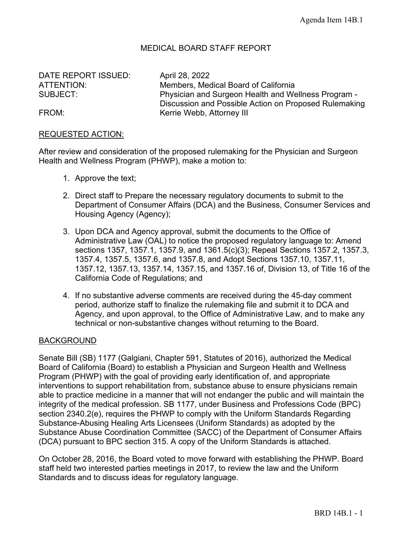## MEDICAL BOARD STAFF REPORT

DATE REPORT ISSUED: April 28, 2022

ATTENTION: Members, Medical Board of California SUBJECT: Physician and Surgeon Health and Wellness Program -Discussion and Possible Action on Proposed Rulemaking FROM: **Kerrie Webb, Attorney III** 

#### REQUESTED ACTION:

After review and consideration of the proposed rulemaking for the Physician and Surgeon Health and Wellness Program (PHWP), make a motion to:

- 1. Approve the text;
- 2. Direct staff to Prepare the necessary regulatory documents to submit to the Department of Consumer Affairs (DCA) and the Business, Consumer Services and Housing Agency (Agency);
- 3. Upon DCA and Agency approval, submit the documents to the Office of Administrative Law (OAL) to notice the proposed regulatory language to: Amend sections 1357, 1357.1, 1357.9, and 1361.5(c)(3); Repeal Sections 1357.2, 1357.3, 1357.4, 1357.5, 1357.6, and 1357.8, and Adopt Sections 1357.10, 1357.11, 1357.12, 1357.13, 1357.14, 1357.15, and 1357.16 of, Division 13, of Title 16 of the California Code of Regulations; and
- 4. If no substantive adverse comments are received during the 45-day comment period, authorize staff to finalize the rulemaking file and submit it to DCA and Agency, and upon approval, to the Office of Administrative Law, and to make any technical or non-substantive changes without returning to the Board.

#### **BACKGROUND**

Senate Bill (SB) 1177 (Galgiani, Chapter 591, Statutes of 2016), authorized the Medical Board of California (Board) to establish a Physician and Surgeon Health and Wellness Program (PHWP) with the goal of providing early identification of, and appropriate interventions to support rehabilitation from, substance abuse to ensure physicians remain able to practice medicine in a manner that will not endanger the public and will maintain the integrity of the medical profession. SB 1177, under Business and Professions Code (BPC) section 2340.2(e), requires the PHWP to comply with the Uniform Standards Regarding Substance-Abusing Healing Arts Licensees (Uniform Standards) as adopted by the Substance Abuse Coordination Committee (SACC) of the Department of Consumer Affairs (DCA) pursuant to BPC section 315. A copy of the Uniform Standards is attached.

On October 28, 2016, the Board voted to move forward with establishing the PHWP. Board staff held two interested parties meetings in 2017, to review the law and the Uniform Standards and to discuss ideas for regulatory language.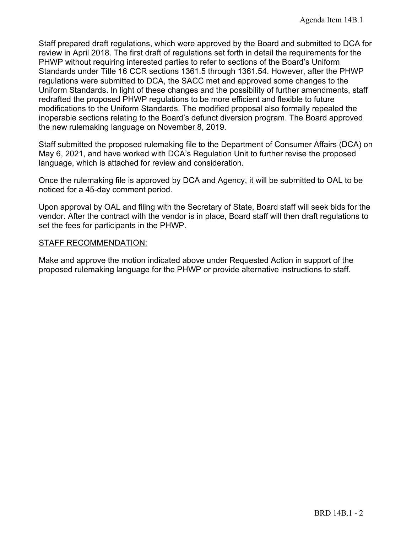Staff prepared draft regulations, which were approved by the Board and submitted to DCA for review in April 2018. The first draft of regulations set forth in detail the requirements for the PHWP without requiring interested parties to refer to sections of the Board's Uniform Standards under Title 16 CCR sections 1361.5 through 1361.54. However, after the PHWP regulations were submitted to DCA, the SACC met and approved some changes to the Uniform Standards. In light of these changes and the possibility of further amendments, staff redrafted the proposed PHWP regulations to be more efficient and flexible to future modifications to the Uniform Standards. The modified proposal also formally repealed the inoperable sections relating to the Board's defunct diversion program. The Board approved the new rulemaking language on November 8, 2019.

Staff submitted the proposed rulemaking file to the Department of Consumer Affairs (DCA) on May 6, 2021, and have worked with DCA's Regulation Unit to further revise the proposed language, which is attached for review and consideration.

Once the rulemaking file is approved by DCA and Agency, it will be submitted to OAL to be noticed for a 45-day comment period.

Upon approval by OAL and filing with the Secretary of State, Board staff will seek bids for the vendor. After the contract with the vendor is in place, Board staff will then draft regulations to set the fees for participants in the PHWP.

#### STAFF RECOMMENDATION:

Make and approve the motion indicated above under Requested Action in support of the proposed rulemaking language for the PHWP or provide alternative instructions to staff.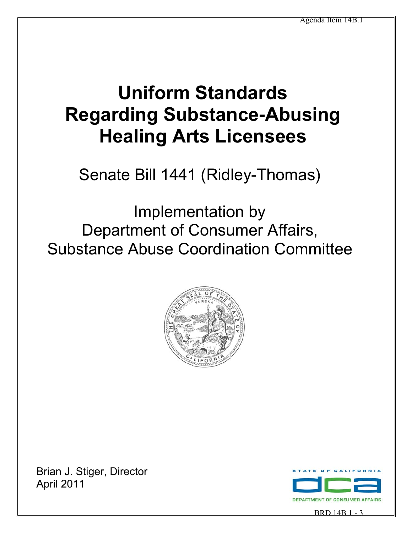# **Uniform Standards Regarding Substance-Abusing Healing Arts Licensees**

Senate Bill 1441 (Ridley-Thomas)

Implementation by Department of Consumer Affairs, Substance Abuse Coordination Committee



Brian J. Stiger, Director April 2011



BRD 14B.1 - 3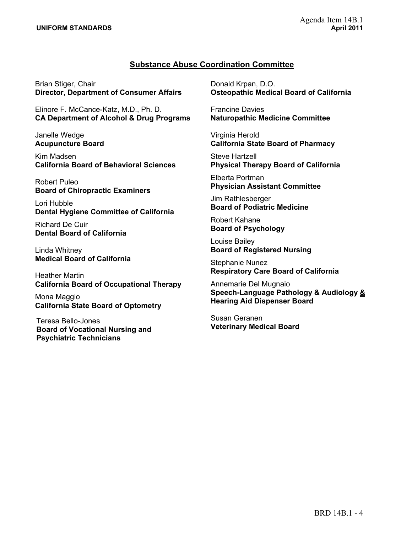#### **Substance Abuse Coordination Committee**

Brian Stiger, Chair **Director, Department of Consumer Affairs** 

Elinore F. McCance-Katz, M.D., Ph. D. **CA Department of Alcohol & Drug Programs** 

Janelle Wedge **Acupuncture Board** 

Kim Madsen **California Board of Behavioral Sciences** 

Robert Puleo **Board of Chiropractic Examiners** 

Lori Hubble **Dental Hygiene Committee of California** 

Richard De Cuir **Dental Board of California** 

Linda Whitney **Medical Board of California** 

Heather Martin **California Board of Occupational Therapy** 

Mona Maggio **California State Board of Optometry** 

Teresa Bello-Jones **Board of Vocational Nursing and Psychiatric Technicians** 

Donald Krpan, D.O. **Osteopathic Medical Board of California** 

Francine Davies **Naturopathic Medicine Committee** 

Virginia Herold **California State Board of Pharmacy** 

Steve Hartzell **Physical Therapy Board of California** 

Elberta Portman **Physician Assistant Committee** 

Jim Rathlesberger **Board of Podiatric Medicine** 

Robert Kahane **Board of Psychology** 

Louise Bailey **Board of Registered Nursing** 

Stephanie Nunez **Respiratory Care Board of California** 

Annemarie Del Mugnaio **Speech-Language Pathology & Audiology & Hearing Aid Dispenser Board** 

Susan Geranen **Veterinary Medical Board**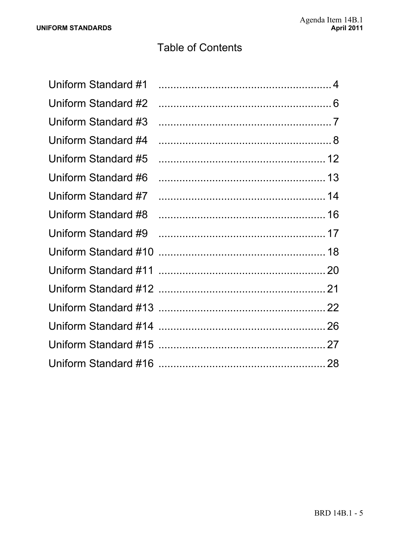## **Table of Contents**

| Uniform Standard #1 |  |
|---------------------|--|
| Uniform Standard #2 |  |
| Uniform Standard #3 |  |
| Uniform Standard #4 |  |
| Uniform Standard #5 |  |
| Uniform Standard #6 |  |
| Uniform Standard #7 |  |
| Uniform Standard #8 |  |
| Uniform Standard #9 |  |
|                     |  |
|                     |  |
|                     |  |
|                     |  |
|                     |  |
|                     |  |
|                     |  |
|                     |  |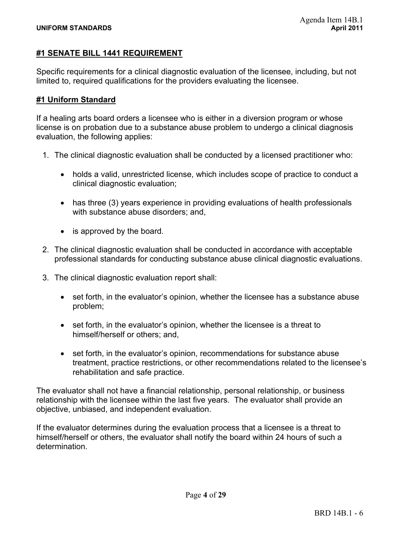#### **#1 SENATE BILL 1441 REQUIREMENT**

Specific requirements for a clinical diagnostic evaluation of the licensee, including, but not limited to, required qualifications for the providers evaluating the licensee.

#### **#1 Uniform Standard**

If a healing arts board orders a licensee who is either in a diversion program or whose license is on probation due to a substance abuse problem to undergo a clinical diagnosis evaluation, the following applies:

- 1. The clinical diagnostic evaluation shall be conducted by a licensed practitioner who:
	- holds a valid, unrestricted license, which includes scope of practice to conduct a clinical diagnostic evaluation;
	- $\bullet$  has three (3) years experience in providing evaluations of health professionals with substance abuse disorders; and,
	- $\bullet$  is approved by the board.
- 2. The clinical diagnostic evaluation shall be conducted in accordance with acceptable professional standards for conducting substance abuse clinical diagnostic evaluations.
- 3. The clinical diagnostic evaluation report shall:
	- set forth, in the evaluator's opinion, whether the licensee has a substance abuse problem;
	- set forth, in the evaluator's opinion, whether the licensee is a threat to himself/herself or others; and,
	- set forth, in the evaluator's opinion, recommendations for substance abuse treatment, practice restrictions, or other recommendations related to the licensee's rehabilitation and safe practice.

The evaluator shall not have a financial relationship, personal relationship, or business relationship with the licensee within the last five years. The evaluator shall provide an objective, unbiased, and independent evaluation.

If the evaluator determines during the evaluation process that a licensee is a threat to himself/herself or others, the evaluator shall notify the board within 24 hours of such a determination.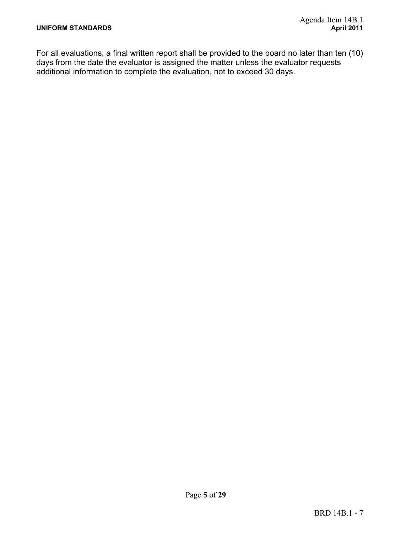For all evaluations, a final written report shall be provided to the board no later than ten (10) days from the date the evaluator is assigned the matter unless the evaluator requests additional information to complete the evaluation, not to exceed 30 days.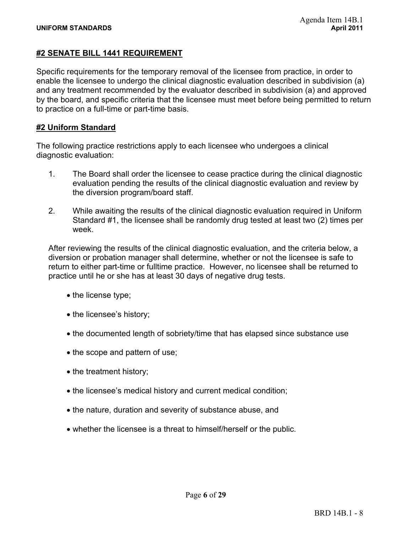#### **#2 SENATE BILL 1441 REQUIREMENT**

Specific requirements for the temporary removal of the licensee from practice, in order to enable the licensee to undergo the clinical diagnostic evaluation described in subdivision (a) and any treatment recommended by the evaluator described in subdivision (a) and approved by the board, and specific criteria that the licensee must meet before being permitted to return to practice on a full-time or part-time basis.

#### **#2 Uniform Standard**

The following practice restrictions apply to each licensee who undergoes a clinical diagnostic evaluation:

- 1. The Board shall order the licensee to cease practice during the clinical diagnostic evaluation pending the results of the clinical diagnostic evaluation and review by the diversion program/board staff.
- 2. While awaiting the results of the clinical diagnostic evaluation required in Uniform Standard #1, the licensee shall be randomly drug tested at least two (2) times per week.

After reviewing the results of the clinical diagnostic evaluation, and the criteria below, a diversion or probation manager shall determine, whether or not the licensee is safe to return to either part-time or fulltime practice. However, no licensee shall be returned to practice until he or she has at least 30 days of negative drug tests.

- the license type;
- the licensee's history;
- the documented length of sobriety/time that has elapsed since substance use
- the scope and pattern of use;
- the treatment history;
- the licensee's medical history and current medical condition;
- the nature, duration and severity of substance abuse, and
- whether the licensee is a threat to himself/herself or the public.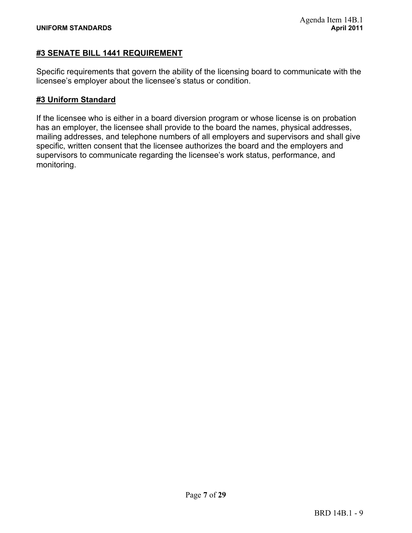#### **#3 SENATE BILL 1441 REQUIREMENT**

Specific requirements that govern the ability of the licensing board to communicate with the licensee's employer about the licensee's status or condition.

#### **#3 Uniform Standard**

If the licensee who is either in a board diversion program or whose license is on probation has an employer, the licensee shall provide to the board the names, physical addresses, mailing addresses, and telephone numbers of all employers and supervisors and shall give specific, written consent that the licensee authorizes the board and the employers and supervisors to communicate regarding the licensee's work status, performance, and monitoring.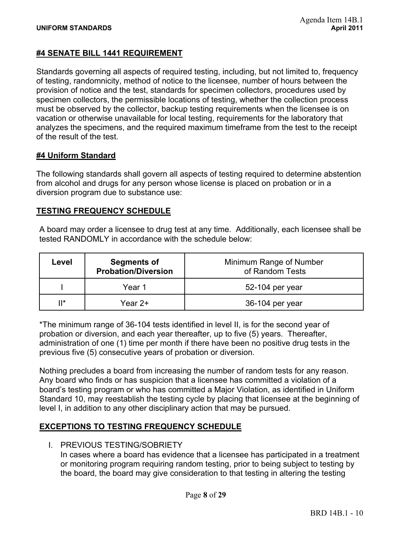#### **#4 SENATE BILL 1441 REQUIREMENT**

Standards governing all aspects of required testing, including, but not limited to, frequency of testing, randomnicity, method of notice to the licensee, number of hours between the provision of notice and the test, standards for specimen collectors, procedures used by specimen collectors, the permissible locations of testing, whether the collection process must be observed by the collector, backup testing requirements when the licensee is on vacation or otherwise unavailable for local testing, requirements for the laboratory that analyzes the specimens, and the required maximum timeframe from the test to the receipt of the result of the test.

#### **#4 Uniform Standard**

The following standards shall govern all aspects of testing required to determine abstention from alcohol and drugs for any person whose license is placed on probation or in a diversion program due to substance use:

#### **TESTING FREQUENCY SCHEDULE**

A board may order a licensee to drug test at any time. Additionally, each licensee shall be tested RANDOMLY in accordance with the schedule below:

| Level | <b>Segments of</b><br><b>Probation/Diversion</b> | Minimum Range of Number<br>of Random Tests |
|-------|--------------------------------------------------|--------------------------------------------|
|       | Year 1                                           | 52-104 per year                            |
| Ⅱ*    | Year 2+                                          | 36-104 per year                            |

\*The minimum range of 36-104 tests identified in level II, is for the second year of probation or diversion, and each year thereafter, up to five (5) years. Thereafter, administration of one (1) time per month if there have been no positive drug tests in the previous five (5) consecutive years of probation or diversion.

Nothing precludes a board from increasing the number of random tests for any reason. Any board who finds or has suspicion that a licensee has committed a violation of a board's testing program or who has committed a Major Violation, as identified in Uniform Standard 10, may reestablish the testing cycle by placing that licensee at the beginning of level I, in addition to any other disciplinary action that may be pursued.

#### **EXCEPTIONS TO TESTING FREQUENCY SCHEDULE**

I. PREVIOUS TESTING/SOBRIETY

In cases where a board has evidence that a licensee has participated in a treatment or monitoring program requiring random testing, prior to being subject to testing by the board, the board may give consideration to that testing in altering the testing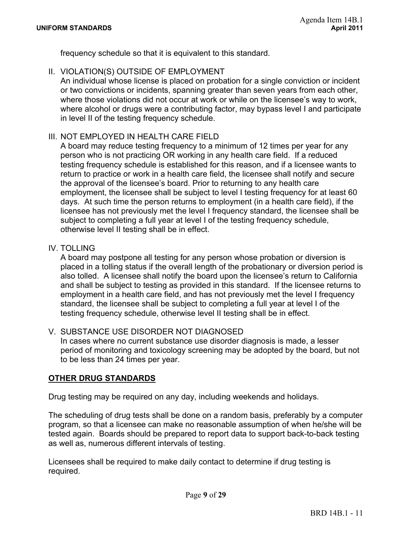frequency schedule so that it is equivalent to this standard.

II. VIOLATION(S) OUTSIDE OF EMPLOYMENT

An individual whose license is placed on probation for a single conviction or incident or two convictions or incidents, spanning greater than seven years from each other, where those violations did not occur at work or while on the licensee's way to work, where alcohol or drugs were a contributing factor, may bypass level I and participate in level II of the testing frequency schedule.

#### III. NOT EMPLOYED IN HEALTH CARE FIELD

A board may reduce testing frequency to a minimum of 12 times per year for any person who is not practicing OR working in any health care field. If a reduced testing frequency schedule is established for this reason, and if a licensee wants to return to practice or work in a health care field, the licensee shall notify and secure the approval of the licensee's board. Prior to returning to any health care employment, the licensee shall be subject to level I testing frequency for at least 60 days. At such time the person returns to employment (in a health care field), if the licensee has not previously met the level I frequency standard, the licensee shall be subject to completing a full year at level I of the testing frequency schedule, otherwise level II testing shall be in effect.

#### IV. TOLLING

A board may postpone all testing for any person whose probation or diversion is placed in a tolling status if the overall length of the probationary or diversion period is also tolled. A licensee shall notify the board upon the licensee's return to California and shall be subject to testing as provided in this standard. If the licensee returns to employment in a health care field, and has not previously met the level I frequency standard, the licensee shall be subject to completing a full year at level I of the testing frequency schedule, otherwise level II testing shall be in effect.

#### V. SUBSTANCE USE DISORDER NOT DIAGNOSED

In cases where no current substance use disorder diagnosis is made, a lesser period of monitoring and toxicology screening may be adopted by the board, but not to be less than 24 times per year.

#### **OTHER DRUG STANDARDS**

Drug testing may be required on any day, including weekends and holidays.

The scheduling of drug tests shall be done on a random basis, preferably by a computer program, so that a licensee can make no reasonable assumption of when he/she will be tested again. Boards should be prepared to report data to support back-to-back testing as well as, numerous different intervals of testing.

Licensees shall be required to make daily contact to determine if drug testing is required.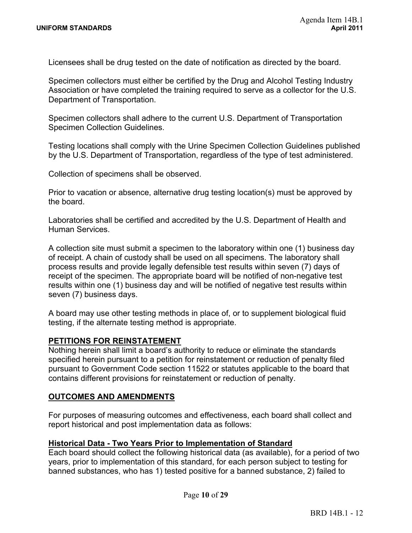Licensees shall be drug tested on the date of notification as directed by the board.

Specimen collectors must either be certified by the Drug and Alcohol Testing Industry Association or have completed the training required to serve as a collector for the U.S. Department of Transportation.

**Specimen Collection Guidelines.** Specimen collectors shall adhere to the current U.S. Department of Transportation

Testing locations shall comply with the Urine Specimen Collection Guidelines published by the U.S. Department of Transportation, regardless of the type of test administered.

Collection of specimens shall be observed.

Prior to vacation or absence, alternative drug testing location(s) must be approved by the board.

Laboratories shall be certified and accredited by the U.S. Department of Health and Human Services.

A collection site must submit a specimen to the laboratory within one (1) business day of receipt. A chain of custody shall be used on all specimens. The laboratory shall process results and provide legally defensible test results within seven (7) days of receipt of the specimen. The appropriate board will be notified of non-negative test results within one (1) business day and will be notified of negative test results within seven (7) business days.

A board may use other testing methods in place of, or to supplement biological fluid testing, if the alternate testing method is appropriate.

#### **PETITIONS FOR REINSTATEMENT**

Nothing herein shall limit a board's authority to reduce or eliminate the standards specified herein pursuant to a petition for reinstatement or reduction of penalty filed pursuant to Government Code section 11522 or statutes applicable to the board that contains different provisions for reinstatement or reduction of penalty.

#### **OUTCOMES AND AMENDMENTS**

For purposes of measuring outcomes and effectiveness, each board shall collect and report historical and post implementation data as follows:

#### **Historical Data - Two Years Prior to Implementation of Standard**

Each board should collect the following historical data (as available), for a period of two years, prior to implementation of this standard, for each person subject to testing for banned substances, who has 1) tested positive for a banned substance, 2) failed to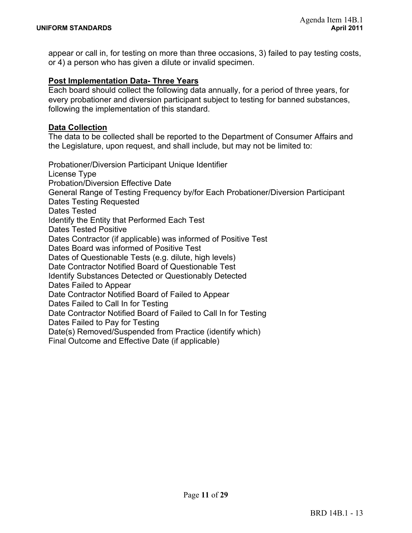appear or call in, for testing on more than three occasions, 3) failed to pay testing costs, or 4) a person who has given a dilute or invalid specimen.

#### **Post Implementation Data- Three Years**

Each board should collect the following data annually, for a period of three years, for every probationer and diversion participant subject to testing for banned substances, following the implementation of this standard.

#### **Data Collection**

The data to be collected shall be reported to the Department of Consumer Affairs and the Legislature, upon request, and shall include, but may not be limited to:

Probationer/Diversion Participant Unique Identifier License Type Probation/Diversion Effective Date General Range of Testing Frequency by/for Each Probationer/Diversion Participant Dates Testing Requested Dates Tested Identify the Entity that Performed Each Test Dates Tested Positive Dates Contractor (if applicable) was informed of Positive Test Dates Board was informed of Positive Test Dates of Questionable Tests (e.g. dilute, high levels) Date Contractor Notified Board of Questionable Test Identify Substances Detected or Questionably Detected Dates Failed to Appear Date Contractor Notified Board of Failed to Appear Dates Failed to Call In for Testing Date Contractor Notified Board of Failed to Call In for Testing Dates Failed to Pay for Testing Date(s) Removed/Suspended from Practice (identify which) Final Outcome and Effective Date (if applicable)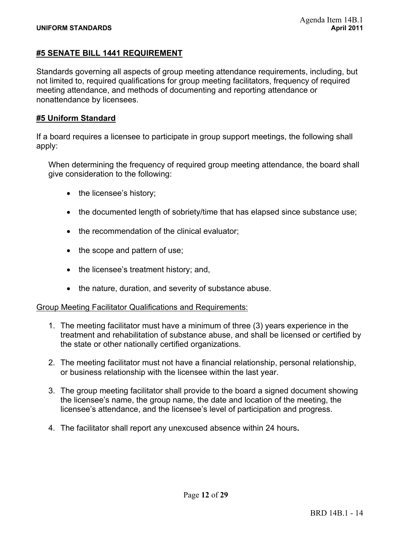#### **#5 SENATE BILL 1441 REQUIREMENT**

Standards governing all aspects of group meeting attendance requirements, including, but not limited to, required qualifications for group meeting facilitators, frequency of required meeting attendance, and methods of documenting and reporting attendance or nonattendance by licensees.

#### **#5 Uniform Standard**

If a board requires a licensee to participate in group support meetings, the following shall apply:

When determining the frequency of required group meeting attendance, the board shall give consideration to the following:

- $\bullet$  the licensee's history;
- $\bullet$  the documented length of sobriety/time that has elapsed since substance use;
- $\bullet$  the recommendation of the clinical evaluator;
- $\bullet$  the scope and pattern of use;
- $\bullet$  the licensee's treatment history; and,
- the nature, duration, and severity of substance abuse.

#### Group Meeting Facilitator Qualifications and Requirements:

- 1. The meeting facilitator must have a minimum of three (3) years experience in the treatment and rehabilitation of substance abuse, and shall be licensed or certified by the state or other nationally certified organizations.
- 2. The meeting facilitator must not have a financial relationship, personal relationship, or business relationship with the licensee within the last year.
- 3. The group meeting facilitator shall provide to the board a signed document showing the licensee's name, the group name, the date and location of the meeting, the licensee's attendance, and the licensee's level of participation and progress.
- 4. The facilitator shall report any unexcused absence within 24 hours**.**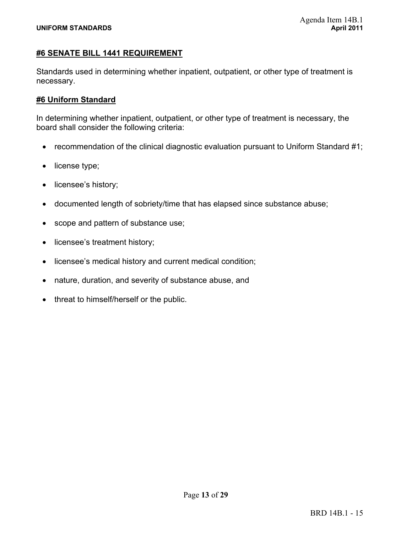#### **#6 SENATE BILL 1441 REQUIREMENT**

Standards used in determining whether inpatient, outpatient, or other type of treatment is necessary.

#### **#6 Uniform Standard**

In determining whether inpatient, outpatient, or other type of treatment is necessary, the board shall consider the following criteria:

- recommendation of the clinical diagnostic evaluation pursuant to Uniform Standard  $#1$ ;
- $\bullet$  license type;
- licensee's history;
- documented length of sobriety/time that has elapsed since substance abuse;
- scope and pattern of substance use;
- licensee's treatment history;
- licensee's medical history and current medical condition;
- nature, duration, and severity of substance abuse, and
- threat to himself/herself or the public.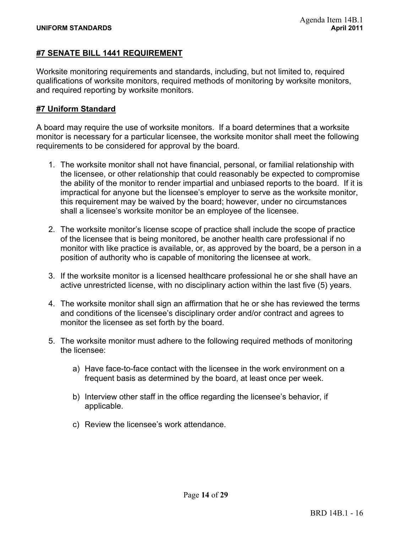#### **#7 SENATE BILL 1441 REQUIREMENT**

Worksite monitoring requirements and standards, including, but not limited to, required qualifications of worksite monitors, required methods of monitoring by worksite monitors, and required reporting by worksite monitors.

#### **#7 Uniform Standard**

A board may require the use of worksite monitors. If a board determines that a worksite monitor is necessary for a particular licensee, the worksite monitor shall meet the following requirements to be considered for approval by the board.

- 1. The worksite monitor shall not have financial, personal, or familial relationship with the licensee, or other relationship that could reasonably be expected to compromise the ability of the monitor to render impartial and unbiased reports to the board. If it is impractical for anyone but the licensee's employer to serve as the worksite monitor, this requirement may be waived by the board; however, under no circumstances shall a licensee's worksite monitor be an employee of the licensee.
- 2. The worksite monitor's license scope of practice shall include the scope of practice of the licensee that is being monitored, be another health care professional if no monitor with like practice is available, or, as approved by the board, be a person in a position of authority who is capable of monitoring the licensee at work.
- 3. If the worksite monitor is a licensed healthcare professional he or she shall have an active unrestricted license, with no disciplinary action within the last five (5) years.
- 4. The worksite monitor shall sign an affirmation that he or she has reviewed the terms and conditions of the licensee's disciplinary order and/or contract and agrees to monitor the licensee as set forth by the board.
- 5. The worksite monitor must adhere to the following required methods of monitoring the licensee:
	- a) Have face-to-face contact with the licensee in the work environment on a frequent basis as determined by the board, at least once per week.
	- b) Interview other staff in the office regarding the licensee's behavior, if applicable.
	- c) Review the licensee's work attendance.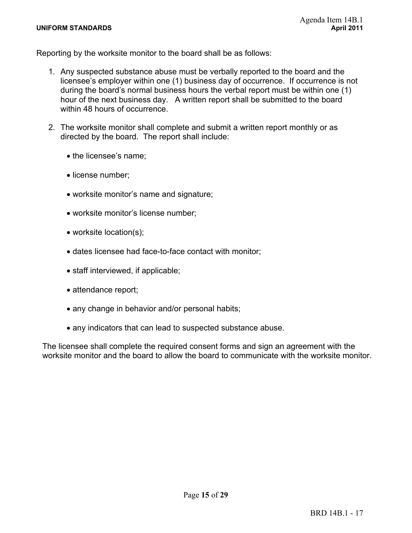#### **UNIFORM STANDARDS April 2011**

Reporting by the worksite monitor to the board shall be as follows:

- 1. Any suspected substance abuse must be verbally reported to the board and the licensee's employer within one (1) business day of occurrence. If occurrence is not during the board's normal business hours the verbal report must be within one (1) hour of the next business day. A written report shall be submitted to the board within 48 hours of occurrence.
- 2. The worksite monitor shall complete and submit a written report monthly or as directed by the board. The report shall include:
	- the licensee's name;
	- license number;
	- worksite monitor's name and signature;
	- worksite monitor's license number;
	- $\bullet$  worksite location(s);
	- dates licensee had face-to-face contact with monitor;
	- $\bullet$  staff interviewed, if applicable;
	- attendance report;
	- any change in behavior and/or personal habits;
	- any indicators that can lead to suspected substance abuse.

The licensee shall complete the required consent forms and sign an agreement with the worksite monitor and the board to allow the board to communicate with the worksite monitor.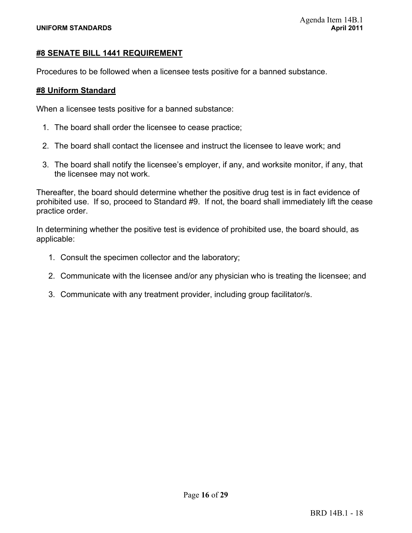#### **#8 SENATE BILL 1441 REQUIREMENT**

Procedures to be followed when a licensee tests positive for a banned substance.

#### **#8 Uniform Standard**

When a licensee tests positive for a banned substance:

- 1. The board shall order the licensee to cease practice;
- 2. The board shall contact the licensee and instruct the licensee to leave work; and
- 3. The board shall notify the licensee's employer, if any, and worksite monitor, if any, that the licensee may not work.

Thereafter, the board should determine whether the positive drug test is in fact evidence of prohibited use. If so, proceed to Standard #9. If not, the board shall immediately lift the cease practice order.

In determining whether the positive test is evidence of prohibited use, the board should, as applicable:

- 1. Consult the specimen collector and the laboratory;
- 2. Communicate with the licensee and/or any physician who is treating the licensee; and
- 3. Communicate with any treatment provider, including group facilitator/s.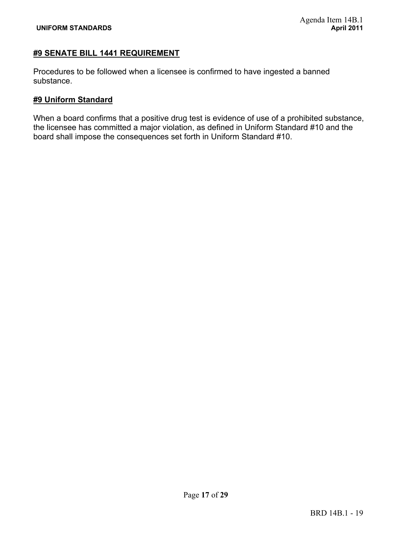#### **#9 SENATE BILL 1441 REQUIREMENT**

Procedures to be followed when a licensee is confirmed to have ingested a banned substance.

#### **#9 Uniform Standard**

When a board confirms that a positive drug test is evidence of use of a prohibited substance, the licensee has committed a major violation, as defined in Uniform Standard #10 and the board shall impose the consequences set forth in Uniform Standard #10.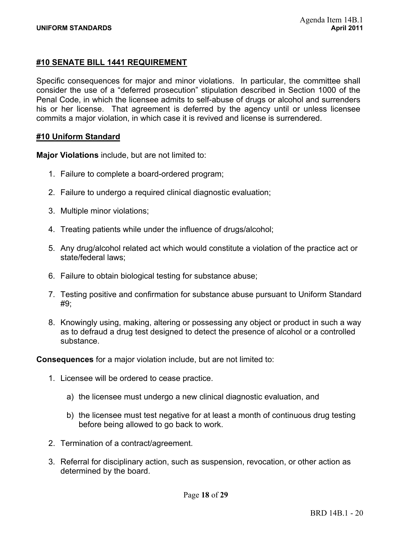#### **#10 SENATE BILL 1441 REQUIREMENT**

Specific consequences for major and minor violations. In particular, the committee shall consider the use of a "deferred prosecution" stipulation described in Section 1000 of the Penal Code, in which the licensee admits to self-abuse of drugs or alcohol and surrenders his or her license. That agreement is deferred by the agency until or unless licensee commits a major violation, in which case it is revived and license is surrendered.

#### **#10 Uniform Standard**

**Major Violations** include, but are not limited to:

- 1. Failure to complete a board-ordered program;
- 2. Failure to undergo a required clinical diagnostic evaluation;
- 3. Multiple minor violations;
- 4. Treating patients while under the influence of drugs/alcohol;
- 5. Any drug/alcohol related act which would constitute a violation of the practice act or state/federal laws;
- 6. Failure to obtain biological testing for substance abuse;
- 7. Testing positive and confirmation for substance abuse pursuant to Uniform Standard #9;
- 8. Knowingly using, making, altering or possessing any object or product in such a way as to defraud a drug test designed to detect the presence of alcohol or a controlled substance.

**Consequences** for a major violation include, but are not limited to:

- 1. Licensee will be ordered to cease practice.
	- a) the licensee must undergo a new clinical diagnostic evaluation, and
	- b) the licensee must test negative for at least a month of continuous drug testing before being allowed to go back to work.
- 2. Termination of a contract/agreement.
- 3. Referral for disciplinary action, such as suspension, revocation, or other action as determined by the board.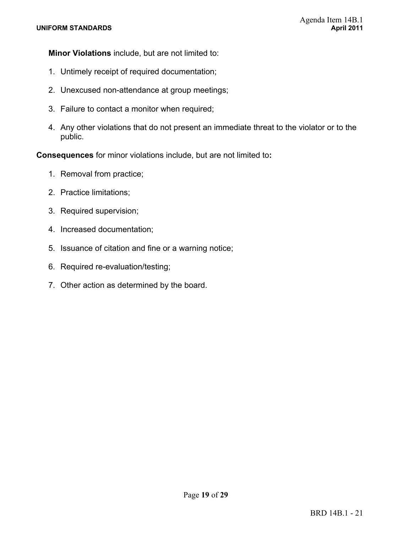**Minor Violations** include, but are not limited to:

- 1. Untimely receipt of required documentation;
- 2. Unexcused non-attendance at group meetings;
- 3. Failure to contact a monitor when required;
- 4. Any other violations that do not present an immediate threat to the violator or to the public.

**Consequences** for minor violations include, but are not limited to**:** 

- 1. Removal from practice;
- 2. Practice limitations;
- 3. Required supervision;
- 4. Increased documentation;
- 5. Issuance of citation and fine or a warning notice;
- 6. Required re-evaluation/testing;
- 7. Other action as determined by the board.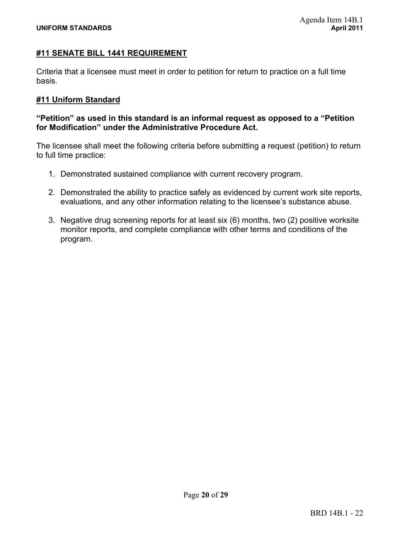#### **#11 SENATE BILL 1441 REQUIREMENT**

Criteria that a licensee must meet in order to petition for return to practice on a full time basis.

#### **#11 Uniform Standard**

#### **"Petition" as used in this standard is an informal request as opposed to a "Petition for Modification" under the Administrative Procedure Act.**

The licensee shall meet the following criteria before submitting a request (petition) to return to full time practice:

- 1. Demonstrated sustained compliance with current recovery program.
- 2. Demonstrated the ability to practice safely as evidenced by current work site reports, evaluations, and any other information relating to the licensee's substance abuse.
- 3. Negative drug screening reports for at least six (6) months, two (2) positive worksite monitor reports, and complete compliance with other terms and conditions of the program.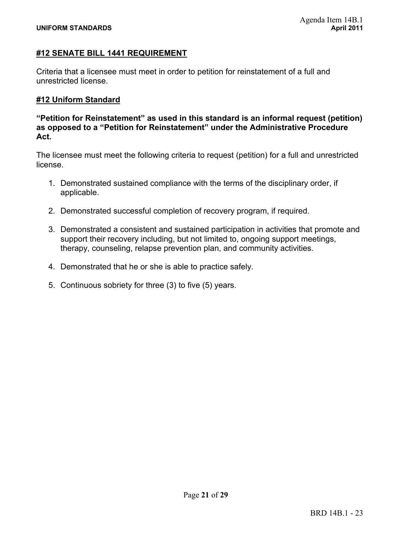#### **#12 SENATE BILL 1441 REQUIREMENT**

Criteria that a licensee must meet in order to petition for reinstatement of a full and unrestricted license.

#### **#12 Uniform Standard**

**"Petition for Reinstatement" as used in this standard is an informal request (petition) as opposed to a "Petition for Reinstatement" under the Administrative Procedure Act.** 

The licensee must meet the following criteria to request (petition) for a full and unrestricted license.

- 1. Demonstrated sustained compliance with the terms of the disciplinary order, if applicable.
- 2. Demonstrated successful completion of recovery program, if required.
- 3. Demonstrated a consistent and sustained participation in activities that promote and support their recovery including, but not limited to, ongoing support meetings, therapy, counseling, relapse prevention plan, and community activities.
- 4. Demonstrated that he or she is able to practice safely.
- 5. Continuous sobriety for three (3) to five (5) years.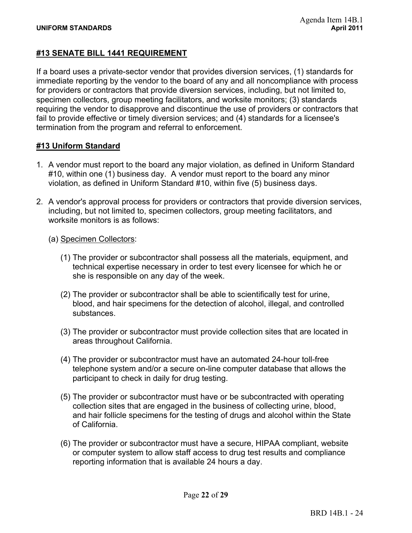#### **#13 SENATE BILL 1441 REQUIREMENT**

If a board uses a private-sector vendor that provides diversion services, (1) standards for immediate reporting by the vendor to the board of any and all noncompliance with process for providers or contractors that provide diversion services, including, but not limited to, specimen collectors, group meeting facilitators, and worksite monitors; (3) standards requiring the vendor to disapprove and discontinue the use of providers or contractors that fail to provide effective or timely diversion services; and (4) standards for a licensee's termination from the program and referral to enforcement.

#### **#13 Uniform Standard**

- 1. A vendor must report to the board any major violation, as defined in Uniform Standard #10, within one (1) business day. A vendor must report to the board any minor violation, as defined in Uniform Standard #10, within five (5) business days.
- 2. A vendor's approval process for providers or contractors that provide diversion services, including, but not limited to, specimen collectors, group meeting facilitators, and worksite monitors is as follows:
	- (a) Specimen Collectors:
		- (1) The provider or subcontractor shall possess all the materials, equipment, and technical expertise necessary in order to test every licensee for which he or she is responsible on any day of the week.
		- (2) The provider or subcontractor shall be able to scientifically test for urine, blood, and hair specimens for the detection of alcohol, illegal, and controlled substances.
		- (3) The provider or subcontractor must provide collection sites that are located in areas throughout California.
		- (4) The provider or subcontractor must have an automated 24-hour toll-free telephone system and/or a secure on-line computer database that allows the participant to check in daily for drug testing.
		- (5) The provider or subcontractor must have or be subcontracted with operating collection sites that are engaged in the business of collecting urine, blood, and hair follicle specimens for the testing of drugs and alcohol within the State of California.
		- (6) The provider or subcontractor must have a secure, HIPAA compliant, website or computer system to allow staff access to drug test results and compliance reporting information that is available 24 hours a day.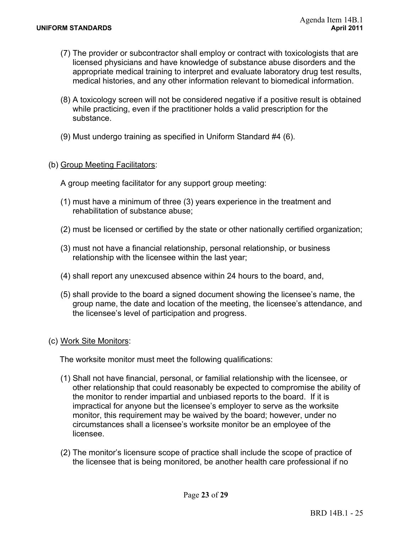- (7) The provider or subcontractor shall employ or contract with toxicologists that are licensed physicians and have knowledge of substance abuse disorders and the appropriate medical training to interpret and evaluate laboratory drug test results, medical histories, and any other information relevant to biomedical information.
- (8) A toxicology screen will not be considered negative if a positive result is obtained while practicing, even if the practitioner holds a valid prescription for the substance.
- (9) Must undergo training as specified in Uniform Standard #4 (6).

#### (b) Group Meeting Facilitators:

A group meeting facilitator for any support group meeting:

- (1) must have a minimum of three (3) years experience in the treatment and rehabilitation of substance abuse;
- (2) must be licensed or certified by the state or other nationally certified organization;
- (3) must not have a financial relationship, personal relationship, or business relationship with the licensee within the last year;
- (4) shall report any unexcused absence within 24 hours to the board, and,
- (5) shall provide to the board a signed document showing the licensee's name, the group name, the date and location of the meeting, the licensee's attendance, and the licensee's level of participation and progress.

#### (c) Work Site Monitors:

The worksite monitor must meet the following qualifications:

- (1) Shall not have financial, personal, or familial relationship with the licensee, or other relationship that could reasonably be expected to compromise the ability of the monitor to render impartial and unbiased reports to the board. If it is impractical for anyone but the licensee's employer to serve as the worksite monitor, this requirement may be waived by the board; however, under no circumstances shall a licensee's worksite monitor be an employee of the licensee.
- (2) The monitor's licensure scope of practice shall include the scope of practice of the licensee that is being monitored, be another health care professional if no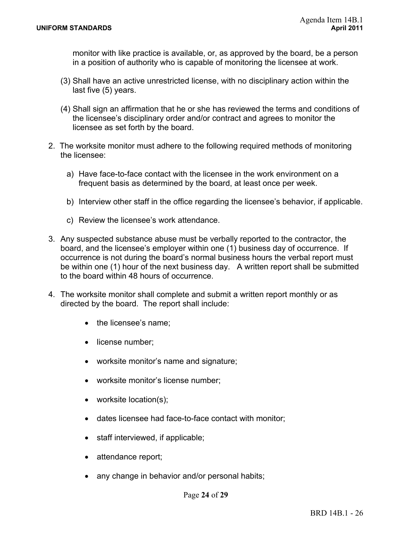monitor with like practice is available, or, as approved by the board, be a person in a position of authority who is capable of monitoring the licensee at work.

- (3) Shall have an active unrestricted license, with no disciplinary action within the last five (5) years.
- (4) Shall sign an affirmation that he or she has reviewed the terms and conditions of the licensee's disciplinary order and/or contract and agrees to monitor the licensee as set forth by the board.
- 2. The worksite monitor must adhere to the following required methods of monitoring the licensee:
	- a) Have face-to-face contact with the licensee in the work environment on a frequent basis as determined by the board, at least once per week.
	- b) Interview other staff in the office regarding the licensee's behavior, if applicable.
	- c) Review the licensee's work attendance.
- 3. Any suspected substance abuse must be verbally reported to the contractor, the board, and the licensee's employer within one (1) business day of occurrence. If occurrence is not during the board's normal business hours the verbal report must be within one (1) hour of the next business day. A written report shall be submitted to the board within 48 hours of occurrence.
- 4. The worksite monitor shall complete and submit a written report monthly or as directed by the board. The report shall include:
	- $\bullet$  the licensee's name:
	- license number;
	- worksite monitor's name and signature;
	- worksite monitor's license number;
	- $\bullet$  worksite location(s);
	- dates licensee had face-to-face contact with monitor;
	- $\bullet$  staff interviewed, if applicable;
	- attendance report;
	- any change in behavior and/or personal habits;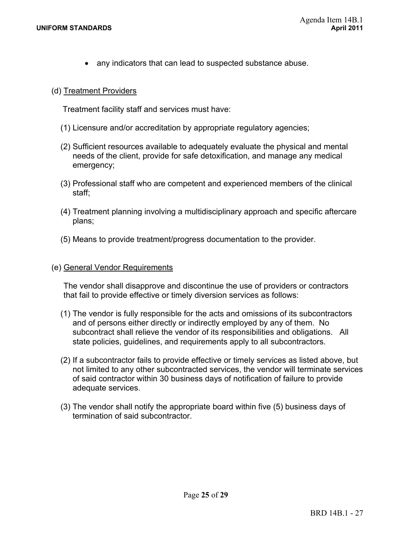• any indicators that can lead to suspected substance abuse.

#### (d) Treatment Providers

Treatment facility staff and services must have:

- (1) Licensure and/or accreditation by appropriate regulatory agencies;
- (2) Sufficient resources available to adequately evaluate the physical and mental needs of the client, provide for safe detoxification, and manage any medical emergency;
- (3) Professional staff who are competent and experienced members of the clinical staff;
- (4) Treatment planning involving a multidisciplinary approach and specific aftercare plans;
- (5) Means to provide treatment/progress documentation to the provider.

#### (e) General Vendor Requirements

The vendor shall disapprove and discontinue the use of providers or contractors that fail to provide effective or timely diversion services as follows:

- (1) The vendor is fully responsible for the acts and omissions of its subcontractors and of persons either directly or indirectly employed by any of them. No subcontract shall relieve the vendor of its responsibilities and obligations. All state policies, guidelines, and requirements apply to all subcontractors.
- (2) If a subcontractor fails to provide effective or timely services as listed above, but not limited to any other subcontracted services, the vendor will terminate services of said contractor within 30 business days of notification of failure to provide adequate services.
- (3) The vendor shall notify the appropriate board within five (5) business days of termination of said subcontractor.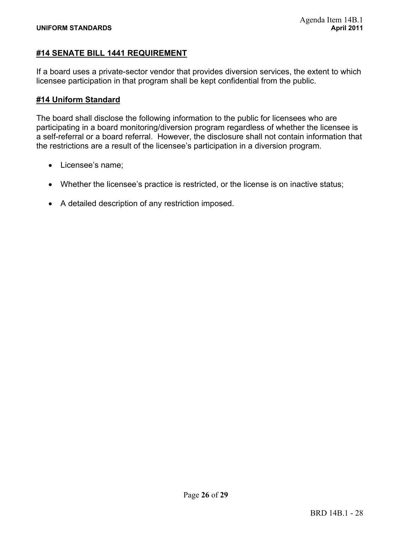#### **#14 SENATE BILL 1441 REQUIREMENT**

If a board uses a private-sector vendor that provides diversion services, the extent to which licensee participation in that program shall be kept confidential from the public.

#### **#14 Uniform Standard**

The board shall disclose the following information to the public for licensees who are participating in a board monitoring/diversion program regardless of whether the licensee is a self-referral or a board referral. However, the disclosure shall not contain information that the restrictions are a result of the licensee's participation in a diversion program.

- Licensee's name;
- Whether the licensee's practice is restricted, or the license is on inactive status;
- A detailed description of any restriction imposed.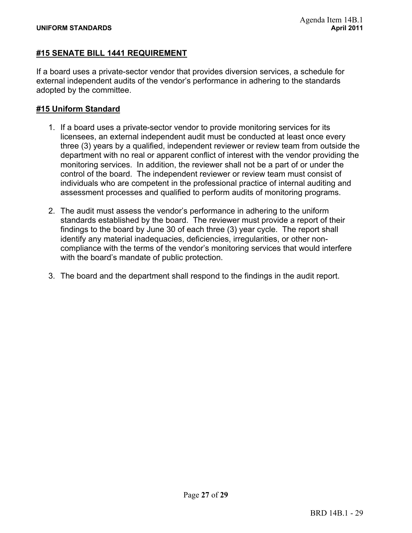#### **#15 SENATE BILL 1441 REQUIREMENT**

If a board uses a private-sector vendor that provides diversion services, a schedule for external independent audits of the vendor's performance in adhering to the standards adopted by the committee.

#### **#15 Uniform Standard**

- 1. If a board uses a private-sector vendor to provide monitoring services for its licensees, an external independent audit must be conducted at least once every three (3) years by a qualified, independent reviewer or review team from outside the department with no real or apparent conflict of interest with the vendor providing the monitoring services. In addition, the reviewer shall not be a part of or under the control of the board. The independent reviewer or review team must consist of individuals who are competent in the professional practice of internal auditing and assessment processes and qualified to perform audits of monitoring programs.
- 2. The audit must assess the vendor's performance in adhering to the uniform standards established by the board. The reviewer must provide a report of their findings to the board by June 30 of each three (3) year cycle. The report shall identify any material inadequacies, deficiencies, irregularities, or other noncompliance with the terms of the vendor's monitoring services that would interfere with the board's mandate of public protection.
- 3. The board and the department shall respond to the findings in the audit report.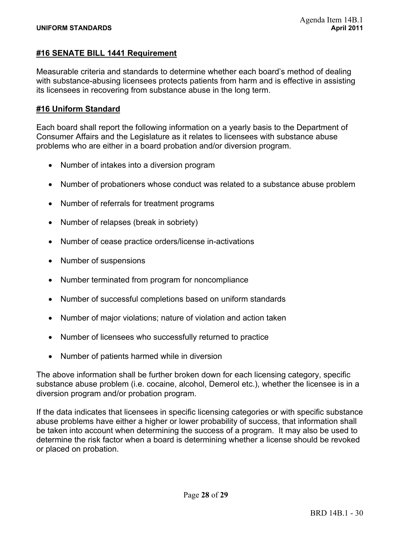#### **#16 SENATE BILL 1441 Requirement**

Measurable criteria and standards to determine whether each board's method of dealing with substance-abusing licensees protects patients from harm and is effective in assisting its licensees in recovering from substance abuse in the long term.

#### **#16 Uniform Standard**

Each board shall report the following information on a yearly basis to the Department of Consumer Affairs and the Legislature as it relates to licensees with substance abuse problems who are either in a board probation and/or diversion program.

- Number of intakes into a diversion program
- Number of probationers whose conduct was related to a substance abuse problem
- Number of referrals for treatment programs
- Number of relapses (break in sobriety)
- Number of cease practice orders/license in-activations
- Number of suspensions
- Number terminated from program for noncompliance
- Number of successful completions based on uniform standards
- Number of major violations; nature of violation and action taken
- Number of licensees who successfully returned to practice
- Number of patients harmed while in diversion

The above information shall be further broken down for each licensing category, specific substance abuse problem (i.e. cocaine, alcohol, Demerol etc.), whether the licensee is in a diversion program and/or probation program.

If the data indicates that licensees in specific licensing categories or with specific substance abuse problems have either a higher or lower probability of success, that information shall be taken into account when determining the success of a program. It may also be used to determine the risk factor when a board is determining whether a license should be revoked or placed on probation.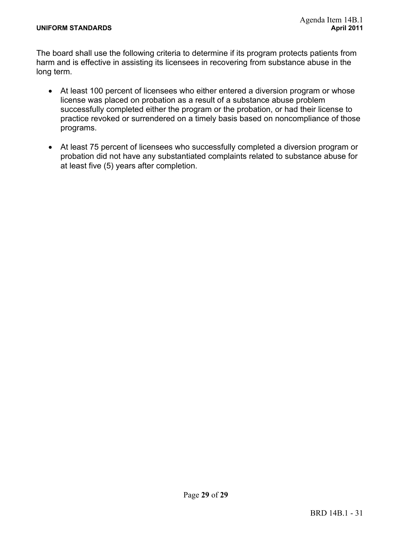The board shall use the following criteria to determine if its program protects patients from harm and is effective in assisting its licensees in recovering from substance abuse in the long term.

- At least 100 percent of licensees who either entered a diversion program or whose license was placed on probation as a result of a substance abuse problem successfully completed either the program or the probation, or had their license to practice revoked or surrendered on a timely basis based on noncompliance of those programs.
- At least 75 percent of licensees who successfully completed a diversion program or probation did not have any substantiated complaints related to substance abuse for at least five (5) years after completion.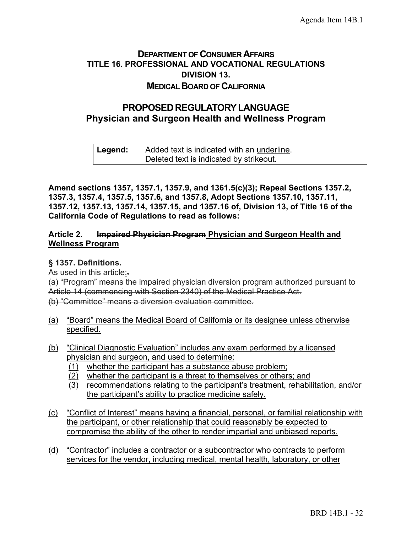## **DEPARTMENT OF CONSUMER AFFAIRS TITLE 16. PROFESSIONAL AND VOCATIONAL REGULATIONS DIVISION 13. MEDICAL BOARD OF CALIFORNIA**

## **PROPOSEDREGULATORYLANGUAGE Physician and Surgeon Health and Wellness Program**

#### **Legend:** Added text is indicated with an underline. Deleted text is indicated by strikeout.

**Amend sections 1357, 1357.1, 1357.9, and 1361.5(c)(3); Repeal Sections 1357.2, 1357.3, 1357.4, 1357.5, 1357.6, and 1357.8, Adopt Sections 1357.10, 1357.11, 1357.12, 1357.13, 1357.14, 1357.15, and 1357.16 of, Division 13, of Title 16 of the California Code of Regulations to read as follows:**

#### **Article 2. Impaired Physician Program Physician and Surgeon Health and Wellness Program**

## **§ 1357. Definitions.**

As used in this article:.

(a) "Program" means the impaired physician diversion program authorized pursuant to Article 14 (commencing with Section 2340) of the Medical Practice Act. (b) "Committee" means a diversion evaluation committee.

- (a) "Board" means the Medical Board of California or its designee unless otherwise specified.
- (b) "Clinical Diagnostic Evaluation" includes any exam performed by a licensed physician and surgeon, and used to determine:
	- (1) whether the participant has a substance abuse problem;
	- (2) whether the participant is a threat to themselves or others; and
	- (3) recommendations relating to the participant's treatment, rehabilitation, and/or the participant's ability to practice medicine safely.
- (c) "Conflict of Interest" means having a financial, personal, or familial relationship with the participant, or other relationship that could reasonably be expected to compromise the ability of the other to render impartial and unbiased reports.
- (d) "Contractor" includes a contractor or a subcontractor who contracts to perform services for the vendor, including medical, mental health, laboratory, or other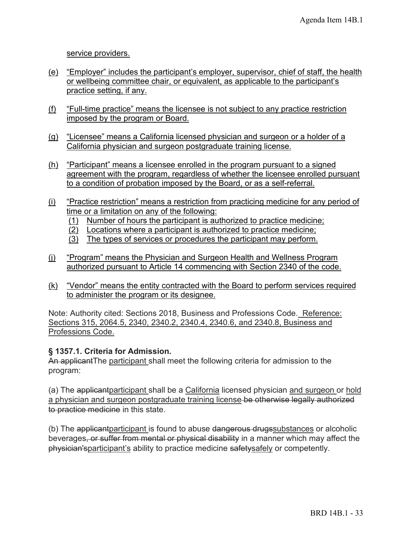service providers.

- (e) "Employer" includes the participant's employer, supervisor, chief of staff, the health or wellbeing committee chair, or equivalent, as applicable to the participant's practice setting, if any.
- (f) "Full-time practice" means the licensee is not subject to any practice restriction imposed by the program or Board.
- (g) "Licensee" means a California licensed physician and surgeon or a holder of a California physician and surgeon postgraduate training license.
- (h) "Participant" means a licensee enrolled in the program pursuant to a signed agreement with the program, regardless of whether the licensee enrolled pursuant to a condition of probation imposed by the Board, or as a self-referral.
- (i) "Practice restriction" means a restriction from practicing medicine for any period of time or a limitation on any of the following:
	- (1) Number of hours the participant is authorized to practice medicine;
	- $\overline{(2)}$  Locations where a participant is authorized to practice medicine;
	- (3) The types of services or procedures the participant may perform.
- (j) "Program" means the Physician and Surgeon Health and Wellness Program authorized pursuant to Article 14 commencing with Section 2340 of the code.
- (k) "Vendor" means the entity contracted with the Board to perform services required to administer the program or its designee.

Note: Authority cited: Sections 2018, Business and Professions Code. Reference: Sections 315, 2064.5, 2340, 2340.2, 2340.4, 2340.6, and 2340.8, Business and Professions Code.

## **§ 1357.1. Criteria for Admission.**

An applicantThe participant shall meet the following criteria for admission to the program:

(a) The applicantparticipant shall be a California licensed physician and surgeon or hold a physician and surgeon postgraduate training license be otherwise legally authorized to practice medicine in this state.

(b) The applicantparticipant is found to abuse dangerous drugssubstances or alcoholic beverages, or suffer from mental or physical disability in a manner which may affect the physician'sparticipant's ability to practice medicine safetysafely or competently.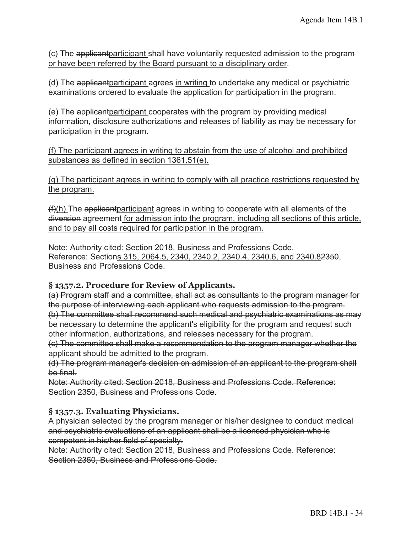(c) The applicantparticipant shall have voluntarily requested admission to the program or have been referred by the Board pursuant to a disciplinary order.

(d) The applicantparticipant agrees in writing to undertake any medical or psychiatric examinations ordered to evaluate the application for participation in the program.

(e) The applicantparticipant cooperates with the program by providing medical information, disclosure authorizations and releases of liability as may be necessary for participation in the program.

#### (f) The participant agrees in writing to abstain from the use of alcohol and prohibited substances as defined in section 1361.51(e).

(g) The participant agrees in writing to comply with all practice restrictions requested by the program.

(f)(h) The applicantparticipant agrees in writing to cooperate with all elements of the diversion agreement for admission into the program, including all sections of this article, and to pay all costs required for participation in the program.

Note: Authority cited: Section 2018, Business and Professions Code. Reference: Sections 315, 2064.5, 2340, 2340.2, 2340.4, 2340.6, and 2340.82350, Business and Professions Code.

## **§ 1357.2. Procedure for Review of Applicants.**

(a) Program staff and a committee, shall act as consultants to the program manager for the purpose of interviewing each applicant who requests admission to the program. (b) The committee shall recommend such medical and psychiatric examinations as may be necessary to determine the applicant's eligibility for the program and request such

other information, authorizations, and releases necessary for the program.

(c) The committee shall make a recommendation to the program manager whether the applicant should be admitted to the program.

(d) The program manager's decision on admission of an applicant to the program shall be final.

Note: Authority cited: Section 2018, Business and Professions Code. Reference: Section 2350, Business and Professions Code.

## **§ 1357.3. Evaluating Physicians.**

A physician selected by the program manager or his/her designee to conduct medical and psychiatric evaluations of an applicant shall be a licensed physician who is competent in his/her field of specialty.

Note: Authority cited: Section 2018, Business and Professions Code. Reference: Section 2350, Business and Professions Code.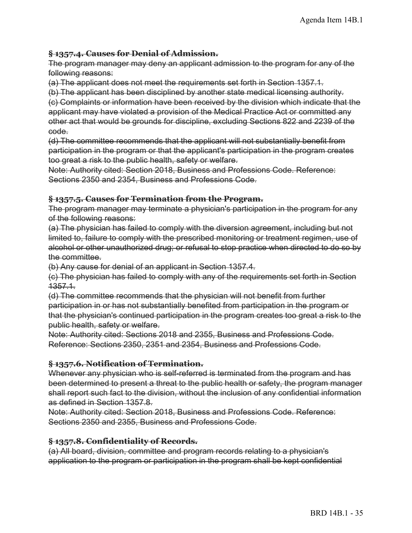#### **§ 1357.4. Causes for Denial of Admission.**

The program manager may deny an applicant admission to the program for any of the following reasons:

(a) The applicant does not meet the requirements set forth in Section 1357.1.

(b) The applicant has been disciplined by another state medical licensing authority. (c) Complaints or information have been received by the division which indicate that the applicant may have violated a provision of the Medical Practice Act or committed any other act that would be grounds for discipline, excluding Sections 822 and 2239 of the code.

(d) The committee recommends that the applicant will not substantially benefit from participation in the program or that the applicant's participation in the program creates too great a risk to the public health, safety or welfare.

Note: Authority cited: Section 2018, Business and Professions Code. Reference: Sections 2350 and 2354, Business and Professions Code.

#### **§ 1357.5. Causes for Termination from the Program.**

The program manager may terminate a physician's participation in the program for any of the following reasons:

(a) The physician has failed to comply with the diversion agreement, including but not limited to, failure to comply with the prescribed monitoring or treatment regimen, use of alcohol or other unauthorized drug; or refusal to stop practice when directed to do so by the committee.

(b) Any cause for denial of an applicant in Section 1357.4.

(c) The physician has failed to comply with any of the requirements set forth in Section 1357.1.

(d) The committee recommends that the physician will not benefit from further participation in or has not substantially benefited from participation in the program or that the physician's continued participation in the program creates too great a risk to the public health, safety or welfare.

Note: Authority cited: Sections 2018 and 2355, Business and Professions Code. Reference: Sections 2350, 2351 and 2354, Business and Professions Code.

#### **§ 1357.6. Notification of Termination.**

Whenever any physician who is self-referred is terminated from the program and has been determined to present a threat to the public health or safety, the program manager shall report such fact to the division, without the inclusion of any confidential information as defined in Section 1357.8.

Note: Authority cited: Section 2018, Business and Professions Code. Reference: Sections 2350 and 2355, Business and Professions Code.

## **§ 1357.8. Confidentiality of Records.**

(a) All board, division, committee and program records relating to a physician's application to the program or participation in the program shall be kept confidential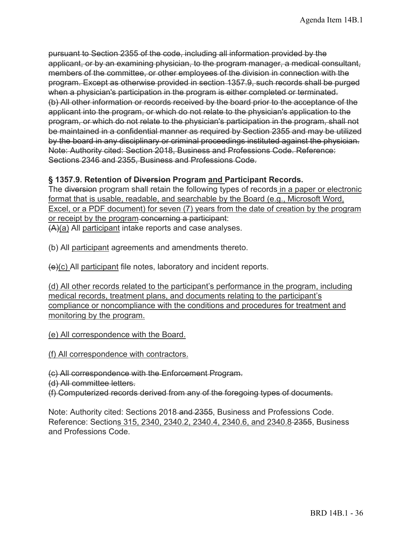Note: Authority cited: Section 2018, Business and Professions Code. Reference: pursuant to Section 2355 of the code, including all information provided by the applicant, or by an examining physician, to the program manager, a medical consultant, members of the committee, or other employees of the division in connection with the program. Except as otherwise provided in section 1357.9, such records shall be purged when a physician's participation in the program is either completed or terminated. (b) All other information or records received by the board prior to the acceptance of the applicant into the program, or which do not relate to the physician's application to the program, or which do not relate to the physician's participation in the program, shall not be maintained in a confidential manner as required by Section 2355 and may be utilized by the board in any disciplinary or criminal proceedings instituted against the physician. Sections 2346 and 2355, Business and Professions Code.

#### **§ 1357.9. Retention of Diversion Program and Participant Records.**

The diversion program shall retain the following types of records in a paper or electronic format that is usable, readable, and searchable by the Board (e.g., Microsoft Word, Excel, or a PDF document) for seven (7) years from the date of creation by the program or receipt by the program-concerning a participant: (A)(a) All participant intake reports and case analyses.

(b) All participant agreements and amendments thereto.

 $\overline{e}(e)(c)$  All participant file notes, laboratory and incident reports.

(d) All other records related to the participant's performance in the program, including medical records, treatment plans, and documents relating to the participant's compliance or noncompliance with the conditions and procedures for treatment and monitoring by the program.

(e) All correspondence with the Board.

(f) All correspondence with contractors.

(c) All correspondence with the Enforcement Program.

(d) All committee letters.

(f) Computerized records derived from any of the foregoing types of documents.

Note: Authority cited: Sections 2018 and 2355, Business and Professions Code. Reference: Sections 315, 2340, 2340.2, 2340.4, 2340.6, and 2340.8 2355, Business and Professions Code.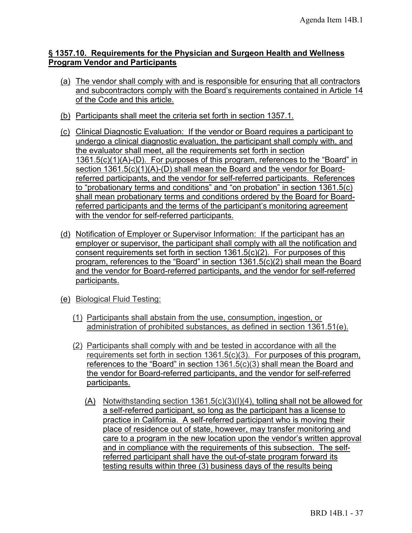#### **§ 1357.10. Requirements for the Physician and Surgeon Health and Wellness Program Vendor and Participants**

- (a) The vendor shall comply with and is responsible for ensuring that all contractors and subcontractors comply with the Board's requirements contained in Article 14 of the Code and this article.
- (b) Participants shall meet the criteria set forth in section 1357.1.
- (c) Clinical Diagnostic Evaluation: If the vendor or Board requires a participant to undergo a clinical diagnostic evaluation, the participant shall comply with, and the evaluator shall meet, all the requirements set forth in section 1361.5(c)(1)(A)-(D). For purposes of this program, references to the "Board" in section 1361.5(c)(1)(A)-(D) shall mean the Board and the vendor for Boardreferred participants, and the vendor for self-referred participants. References to "probationary terms and conditions" and "on probation" in section 1361.5(c) shall mean probationary terms and conditions ordered by the Board for Boardreferred participants and the terms of the participant's monitoring agreement with the vendor for self-referred participants.
- (d) Notification of Employer or Supervisor Information: If the participant has an employer or supervisor, the participant shall comply with all the notification and consent requirements set forth in section 1361.5(c)(2). For purposes of this program, references to the "Board" in section 1361.5(c)(2) shall mean the Board and the vendor for Board-referred participants, and the vendor for self-referred participants.
- (e) Biological Fluid Testing:
	- (1) Participants shall abstain from the use, consumption, ingestion, or administration of prohibited substances, as defined in section 1361.51(e).
	- (2) Participants shall comply with and be tested in accordance with all the requirements set forth in section 1361.5(c)(3). For purposes of this program, references to the "Board" in section 1361.5(c)(3) shall mean the Board and the vendor for Board-referred participants, and the vendor for self-referred participants.
		- (A) Notwithstanding section 1361.5(c)(3)(I)(4), tolling shall not be allowed for a self-referred participant, so long as the participant has a license to practice in California. A self-referred participant who is moving their place of residence out of state, however, may transfer monitoring and care to a program in the new location upon the vendor's written approval and in compliance with the requirements of this subsection. The selfreferred participant shall have the out-of-state program forward its testing results within three (3) business days of the results being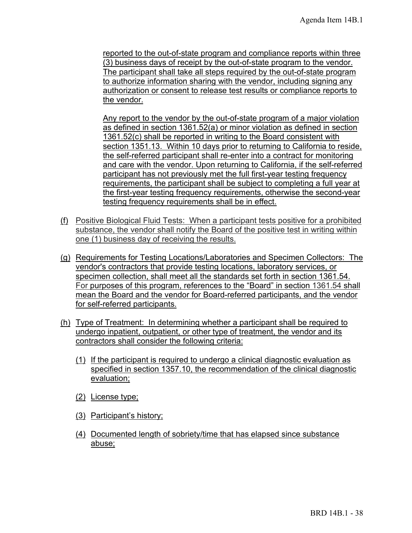reported to the out-of-state program and compliance reports within three (3) business days of receipt by the out-of-state program to the vendor. The participant shall take all steps required by the out-of-state program to authorize information sharing with the vendor, including signing any authorization or consent to release test results or compliance reports to the vendor.

Any report to the vendor by the out-of-state program of a major violation as defined in section 1361.52(a) or minor violation as defined in section 1361.52(c) shall be reported in writing to the Board consistent with section 1351.13. Within 10 days prior to returning to California to reside, the self-referred participant shall re-enter into a contract for monitoring and care with the vendor. Upon returning to California, if the self-referred participant has not previously met the full first-year testing frequency requirements, the participant shall be subject to completing a full year at the first-year testing frequency requirements, otherwise the second-year testing frequency requirements shall be in effect.

- (f) Positive Biological Fluid Tests: When a participant tests positive for a prohibited substance, the vendor shall notify the Board of the positive test in writing within one (1) business day of receiving the results.
- (g) Requirements for Testing Locations/Laboratories and Specimen Collectors: The vendor's contractors that provide testing locations, laboratory services, or specimen collection, shall meet all the standards set forth in section 1361.54. For purposes of this program, references to the "Board" in section 1361.54 shall mean the Board and the vendor for Board-referred participants, and the vendor for self-referred participants.
- (h) Type of Treatment: In determining whether a participant shall be required to undergo inpatient, outpatient, or other type of treatment, the vendor and its contractors shall consider the following criteria:
	- (1) If the participant is required to undergo a clinical diagnostic evaluation as specified in section 1357.10, the recommendation of the clinical diagnostic evaluation;
	- (2) License type;
	- (3) Participant's history;
	- (4) Documented length of sobriety/time that has elapsed since substance abuse;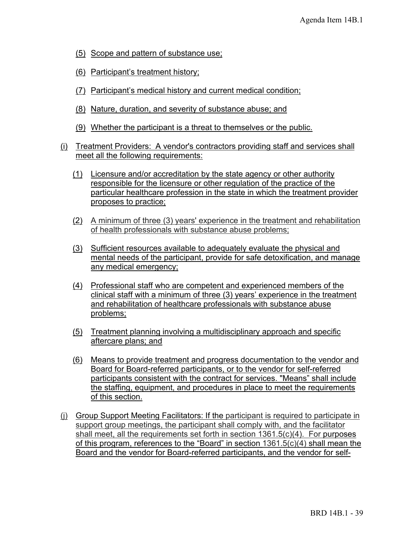- (5) Scope and pattern of substance use;
- (6) Participant's treatment history;
- (7) Participant's medical history and current medical condition;
- (8) Nature, duration, and severity of substance abuse; and
- (9) Whether the participant is a threat to themselves or the public.
- (i) Treatment Providers: A vendor's contractors providing staff and services shall meet all the following requirements:
	- (1) Licensure and/or accreditation by the state agency or other authority responsible for the licensure or other regulation of the practice of the particular healthcare profession in the state in which the treatment provider proposes to practice;
	- (2) A minimum of three (3) years' experience in the treatment and rehabilitation of health professionals with substance abuse problems;
	- (3) Sufficient resources available to adequately evaluate the physical and mental needs of the participant, provide for safe detoxification, and manage any medical emergency;
	- (4) Professional staff who are competent and experienced members of the clinical staff with a minimum of three (3) years' experience in the treatment and rehabilitation of healthcare professionals with substance abuse problems;
	- (5) Treatment planning involving a multidisciplinary approach and specific aftercare plans; and
	- (6) Means to provide treatment and progress documentation to the vendor and Board for Board-referred participants, or to the vendor for self-referred participants consistent with the contract for services. "Means" shall include the staffing, equipment, and procedures in place to meet the requirements of this section.
- (j) Group Support Meeting Facilitators: If the participant is required to participate in support group meetings, the participant shall comply with, and the facilitator shall meet, all the requirements set forth in section 1361.5(c)(4). For purposes of this program, references to the "Board" in section 1361.5(c)(4) shall mean the Board and the vendor for Board-referred participants, and the vendor for self-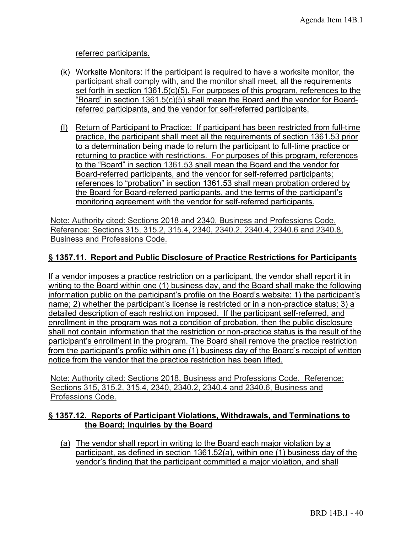referred participants.

- (k) Worksite Monitors: If the participant is required to have a worksite monitor, the participant shall comply with, and the monitor shall meet, all the requirements set forth in section 1361.5(c)(5). For purposes of this program, references to the "Board" in section 1361.5(c)(5) shall mean the Board and the vendor for Boardreferred participants, and the vendor for self-referred participants.
- (l) Return of Participant to Practice: If participant has been restricted from full-time practice, the participant shall meet all the requirements of section 1361.53 prior to a determination being made to return the participant to full-time practice or returning to practice with restrictions. For purposes of this program, references to the "Board" in section 1361.53 shall mean the Board and the vendor for Board-referred participants, and the vendor for self-referred participants; references to "probation" in section 1361.53 shall mean probation ordered by the Board for Board-referred participants, and the terms of the participant's monitoring agreement with the vendor for self-referred participants.

Note: Authority cited: Sections 2018 and 2340, Business and Professions Code. Reference: Sections 315, 315.2, 315.4, 2340, 2340.2, 2340.4, 2340.6 and 2340.8, Business and Professions Code.

## **§ 1357.11. Report and Public Disclosure of Practice Restrictions for Participants**

If a vendor imposes a practice restriction on a participant, the vendor shall report it in writing to the Board within one (1) business day, and the Board shall make the following information public on the participant's profile on the Board's website: 1) the participant's name; 2) whether the participant's license is restricted or in a non-practice status; 3) a detailed description of each restriction imposed. If the participant self-referred, and enrollment in the program was not a condition of probation, then the public disclosure shall not contain information that the restriction or non-practice status is the result of the participant's enrollment in the program. The Board shall remove the practice restriction from the participant's profile within one (1) business day of the Board's receipt of written notice from the vendor that the practice restriction has been lifted.

Note: Authority cited: Sections 2018, Business and Professions Code. Reference: Sections 315, 315.2, 315.4, 2340, 2340.2, 2340.4 and 2340.6, Business and Professions Code.

## **§ 1357.12. Reports of Participant Violations, Withdrawals, and Terminations to the Board; Inquiries by the Board**

(a) The vendor shall report in writing to the Board each major violation by a participant, as defined in section 1361.52(a), within one (1) business day of the vendor's finding that the participant committed a major violation, and shall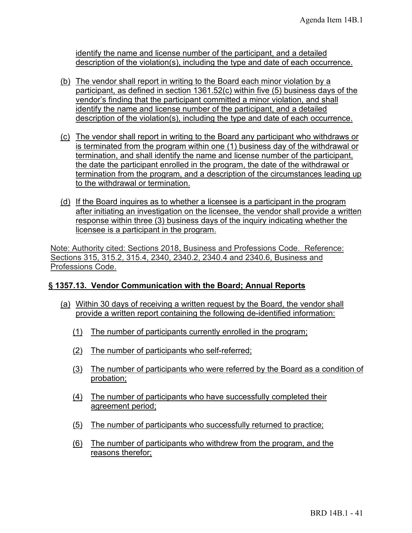description of the violation(s), including the type and date of each occurrence. identify the name and license number of the participant, and a detailed

- (b) The vendor shall report in writing to the Board each minor violation by a participant, as defined in section 1361.52(c) within five (5) business days of the vendor's finding that the participant committed a minor violation, and shall identify the name and license number of the participant, and a detailed description of the violation(s), including the type and date of each occurrence.
- (c) The vendor shall report in writing to the Board any participant who withdraws or is terminated from the program within one (1) business day of the withdrawal or termination, and shall identify the name and license number of the participant, the date the participant enrolled in the program, the date of the withdrawal or termination from the program, and a description of the circumstances leading up to the withdrawal or termination.
- (d) If the Board inquires as to whether a licensee is a participant in the program after initiating an investigation on the licensee, the vendor shall provide a written response within three (3) business days of the inquiry indicating whether the licensee is a participant in the program.

 Note: Authority cited: Sections 2018, Business and Professions Code. Reference: Sections 315, 315.2, 315.4, 2340, 2340.2, 2340.4 and 2340.6, Business and Professions Code.

## **§ 1357.13. Vendor Communication with the Board; Annual Reports**

- (a) Within 30 days of receiving a written request by the Board, the vendor shall
	- provide a written report containing the following de-identified information:<br>(1) The number of participants currently enrolled in the program;
	- (2) The number of participants who self-referred;
	- (3) The number of participants who were referred by the Board as a condition of probation;
	- (4) The number of participants who have successfully completed their agreement period;
	- (5) The number of participants who successfully returned to practice;
	- (6) The number of participants who withdrew from the program, and the reasons therefor;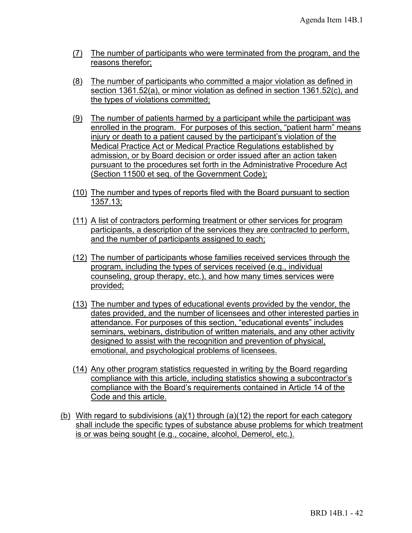- (7) The number of participants who were terminated from the program, and the reasons therefor;
- (8) The number of participants who committed a major violation as defined in section 1361.52(a), or minor violation as defined in section 1361.52(c), and the types of violations committed;
- (9) The number of patients harmed by a participant while the participant was enrolled in the program. For purposes of this section, "patient harm" means injury or death to a patient caused by the participant's violation of the Medical Practice Act or Medical Practice Regulations established by admission, or by Board decision or order issued after an action taken pursuant to the procedures set forth in the Administrative Procedure Act (Section 11500 et seq. of the Government Code);
- (10) The number and types of reports filed with the Board pursuant to section 1357.13;
- (11) A list of contractors performing treatment or other services for program participants, a description of the services they are contracted to perform, and the number of participants assigned to each;
- (12) The number of participants whose families received services through the program, including the types of services received (e.g., individual counseling, group therapy, etc.), and how many times services were provided;
- (13) The number and types of educational events provided by the vendor, the dates provided, and the number of licensees and other interested parties in attendance. For purposes of this section, "educational events" includes seminars, webinars, distribution of written materials, and any other activity designed to assist with the recognition and prevention of physical, emotional, and psychological problems of licensees.
- (14) Any other program statistics requested in writing by the Board regarding compliance with this article, including statistics showing a subcontractor's compliance with the Board's requirements contained in Article 14 of the Code and this article.
- (b) With regard to subdivisions (a)(1) through (a)(12) the report for each category shall include the specific types of substance abuse problems for which treatment is or was being sought (e.g., cocaine, alcohol, Demerol, etc.).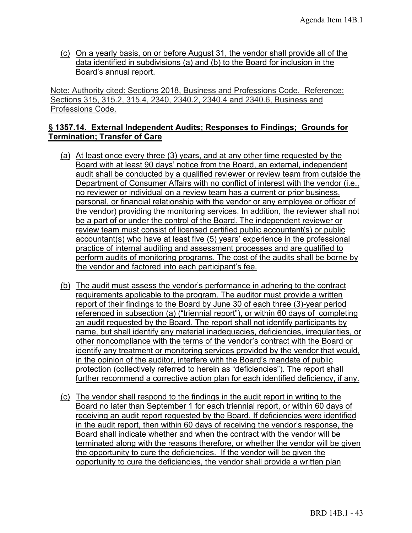(c) On a yearly basis, on or before August 31, the vendor shall provide all of the data identified in subdivisions (a) and (b) to the Board for inclusion in the Board's annual report.

Note: Authority cited: Sections 2018, Business and Professions Code. Reference: Sections 315, 315.2, 315.4, 2340, 2340.2, 2340.4 and 2340.6, Business and Professions Code.

## **§ 1357.14. External Independent Audits; Responses to Findings; Grounds for Termination; Transfer of Care**

- (a) At least once every three (3) years, and at any other time requested by the Board with at least 90 days' notice from the Board, an external, independent audit shall be conducted by a qualified reviewer or review team from outside the Department of Consumer Affairs with no conflict of interest with the vendor (i.e., no reviewer or individual on a review team has a current or prior business, personal, or financial relationship with the vendor or any employee or officer of the vendor) providing the monitoring services. In addition, the reviewer shall not be a part of or under the control of the Board. The independent reviewer or review team must consist of licensed certified public accountant(s) or public accountant(s) who have at least five (5) years' experience in the professional practice of internal auditing and assessment processes and are qualified to perform audits of monitoring programs. The cost of the audits shall be borne by the vendor and factored into each participant's fee.
- (b) The audit must assess the vendor's performance in adhering to the contract requirements applicable to the program. The auditor must provide a written report of their findings to the Board by June 30 of each three (3)-year period referenced in subsection (a) ("triennial report"), or within 60 days of completing an audit requested by the Board. The report shall not identify participants by name, but shall identify any material inadequacies, deficiencies, irregularities, or other noncompliance with the terms of the vendor's contract with the Board or identify any treatment or monitoring services provided by the vendor that would, in the opinion of the auditor, interfere with the Board's mandate of public protection (collectively referred to herein as "deficiencies"). The report shall further recommend a corrective action plan for each identified deficiency, if any.
- (c) The vendor shall respond to the findings in the audit report in writing to the Board no later than September 1 for each triennial report, or within 60 days of receiving an audit report requested by the Board. If deficiencies were identified in the audit report, then within 60 days of receiving the vendor's response, the Board shall indicate whether and when the contract with the vendor will be terminated along with the reasons therefore, or whether the vendor will be given the opportunity to cure the deficiencies. If the vendor will be given the opportunity to cure the deficiencies, the vendor shall provide a written plan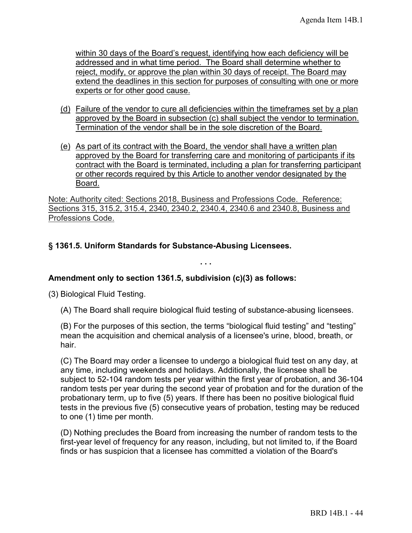within 30 days of the Board's request, identifying how each deficiency will be addressed and in what time period. The Board shall determine whether to reject, modify, or approve the plan within 30 days of receipt. The Board may extend the deadlines in this section for purposes of consulting with one or more experts or for other good cause.

- (d) Failure of the vendor to cure all deficiencies within the timeframes set by a plan approved by the Board in subsection (c) shall subject the vendor to termination. Termination of the vendor shall be in the sole discretion of the Board.
- (e) As part of its contract with the Board, the vendor shall have a written plan approved by the Board for transferring care and monitoring of participants if its contract with the Board is terminated, including a plan for transferring participant or other records required by this Article to another vendor designated by the Board.

Note: Authority cited: Sections 2018, Business and Professions Code. Reference: Sections 315, 315.2, 315.4, 2340, 2340.2, 2340.4, 2340.6 and 2340.8, Business and Professions Code.

## **§ 1361.5. Uniform Standards for Substance-Abusing Licensees.**

**Amendment only to section 1361.5, subdivision (c)(3) as follows:** 

(3) Biological Fluid Testing.

(A) The Board shall require biological fluid testing of substance-abusing licensees.

**. . .**

(B) For the purposes of this section, the terms "biological fluid testing" and "testing" mean the acquisition and chemical analysis of a licensee's urine, blood, breath, or hair.

(C) The Board may order a licensee to undergo a biological fluid test on any day, at any time, including weekends and holidays. Additionally, the licensee shall be subject to 52-104 random tests per year within the first year of probation, and 36-104 random tests per year during the second year of probation and for the duration of the probationary term, up to five (5) years. If there has been no positive biological fluid tests in the previous five (5) consecutive years of probation, testing may be reduced to one (1) time per month.

(D) Nothing precludes the Board from increasing the number of random tests to the first-year level of frequency for any reason, including, but not limited to, if the Board finds or has suspicion that a licensee has committed a violation of the Board's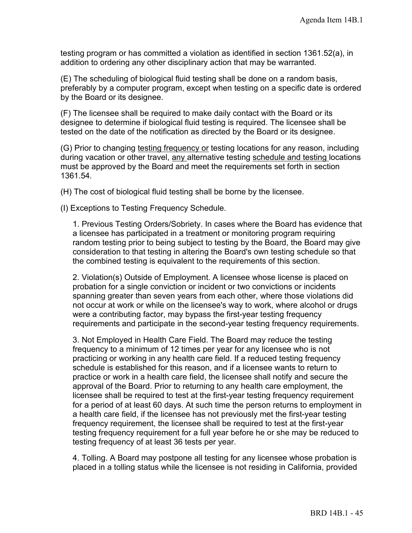testing program or has committed a violation as identified in section 1361.52(a), in addition to ordering any other disciplinary action that may be warranted.

(E) The scheduling of biological fluid testing shall be done on a random basis, preferably by a computer program, except when testing on a specific date is ordered by the Board or its designee.

(F) The licensee shall be required to make daily contact with the Board or its designee to determine if biological fluid testing is required. The licensee shall be tested on the date of the notification as directed by the Board or its designee.

(G) Prior to changing testing frequency or testing locations for any reason, including during vacation or other travel, any alternative testing schedule and testing locations must be approved by the Board and meet the requirements set forth in section 1361.54.

(H) The cost of biological fluid testing shall be borne by the licensee.

(I) Exceptions to Testing Frequency Schedule.

1. Previous Testing Orders/Sobriety. In cases where the Board has evidence that a licensee has participated in a treatment or monitoring program requiring random testing prior to being subject to testing by the Board, the Board may give consideration to that testing in altering the Board's own testing schedule so that the combined testing is equivalent to the requirements of this section.

2. Violation(s) Outside of Employment. A licensee whose license is placed on probation for a single conviction or incident or two convictions or incidents spanning greater than seven years from each other, where those violations did not occur at work or while on the licensee's way to work, where alcohol or drugs were a contributing factor, may bypass the first-year testing frequency requirements and participate in the second-year testing frequency requirements.

3. Not Employed in Health Care Field. The Board may reduce the testing frequency to a minimum of 12 times per year for any licensee who is not practicing or working in any health care field. If a reduced testing frequency schedule is established for this reason, and if a licensee wants to return to practice or work in a health care field, the licensee shall notify and secure the approval of the Board. Prior to returning to any health care employment, the licensee shall be required to test at the first-year testing frequency requirement for a period of at least 60 days. At such time the person returns to employment in a health care field, if the licensee has not previously met the first-year testing frequency requirement, the licensee shall be required to test at the first-year testing frequency requirement for a full year before he or she may be reduced to testing frequency of at least 36 tests per year.

4. Tolling. A Board may postpone all testing for any licensee whose probation is placed in a tolling status while the licensee is not residing in California, provided